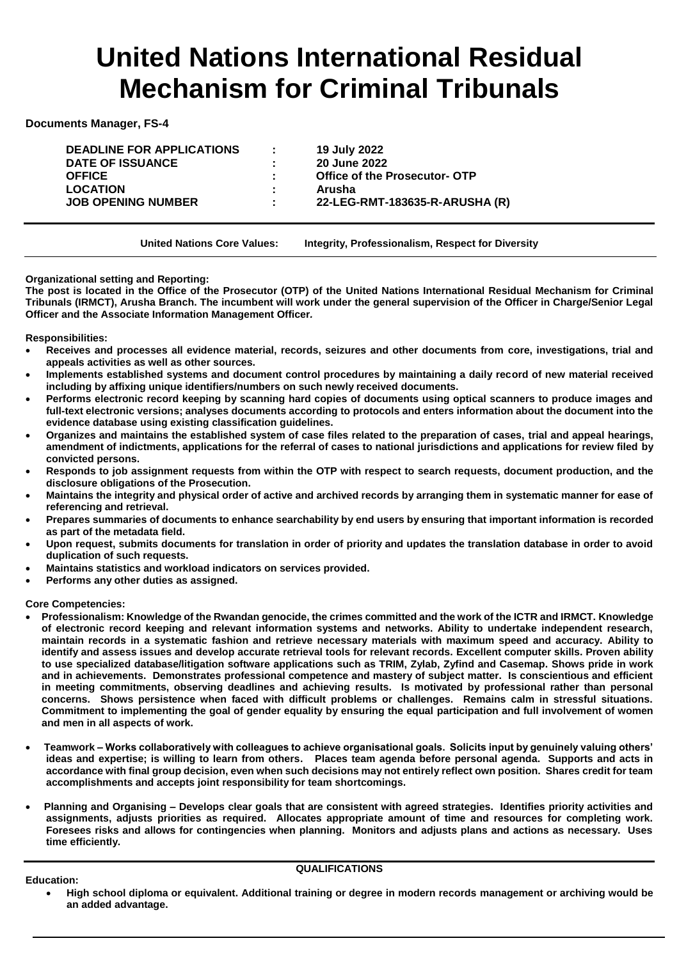# **United Nations International Residual Mechanism for Criminal Tribunals**

**Documents Manager, FS-4**

**DEADLINE FOR APPLICATIONS : 19 July 2022 DATE OF ISSUANCE : 20 June 2022 OFFICE : Office of the Prosecutor- OTP LOCATION : Arusha**

**JOB OPENING NUMBER : 22-LEG-RMT-183635-R-ARUSHA (R)**

**United Nations Core Values: Integrity, Professionalism, Respect for Diversity**

**Organizational setting and Reporting:**

**The post is located in the Office of the Prosecutor (OTP) of the United Nations International Residual Mechanism for Criminal Tribunals (IRMCT), Arusha Branch. The incumbent will work under the general supervision of the Officer in Charge/Senior Legal Officer and the Associate Information Management Officer***.*

**Responsibilities:**

- **Receives and processes all evidence material, records, seizures and other documents from core, investigations, trial and appeals activities as well as other sources.**
- **Implements established systems and document control procedures by maintaining a daily record of new material received including by affixing unique identifiers/numbers on such newly received documents.**
- **Performs electronic record keeping by scanning hard copies of documents using optical scanners to produce images and full-text electronic versions; analyses documents according to protocols and enters information about the document into the evidence database using existing classification guidelines.**
- **Organizes and maintains the established system of case files related to the preparation of cases, trial and appeal hearings, amendment of indictments, applications for the referral of cases to national jurisdictions and applications for review filed by convicted persons.**
- **Responds to job assignment requests from within the OTP with respect to search requests, document production, and the disclosure obligations of the Prosecution.**
- **Maintains the integrity and physical order of active and archived records by arranging them in systematic manner for ease of referencing and retrieval.**
- **Prepares summaries of documents to enhance searchability by end users by ensuring that important information is recorded as part of the metadata field.**
- **Upon request, submits documents for translation in order of priority and updates the translation database in order to avoid duplication of such requests.**
- **Maintains statistics and workload indicators on services provided.**
- **Performs any other duties as assigned.**

**Core Competencies:**

- **Professionalism: Knowledge of the Rwandan genocide, the crimes committed and the work of the ICTR and IRMCT. Knowledge of electronic record keeping and relevant information systems and networks. Ability to undertake independent research, maintain records in a systematic fashion and retrieve necessary materials with maximum speed and accuracy. Ability to identify and assess issues and develop accurate retrieval tools for relevant records. Excellent computer skills. Proven ability to use specialized database/litigation software applications such as TRIM, Zylab, Zyfind and Casemap. Shows pride in work and in achievements. Demonstrates professional competence and mastery of subject matter. Is conscientious and efficient in meeting commitments, observing deadlines and achieving results. Is motivated by professional rather than personal concerns. Shows persistence when faced with difficult problems or challenges. Remains calm in stressful situations. Commitment to implementing the goal of gender equality by ensuring the equal participation and full involvement of women and men in all aspects of work.**
- **Teamwork – Works collaboratively with colleagues to achieve organisational goals. Solicits input by genuinely valuing others' ideas and expertise; is willing to learn from others. Places team agenda before personal agenda. Supports and acts in accordance with final group decision, even when such decisions may not entirely reflect own position. Shares credit for team accomplishments and accepts joint responsibility for team shortcomings.**
- **Planning and Organising – Develops clear goals that are consistent with agreed strategies. Identifies priority activities and assignments, adjusts priorities as required. Allocates appropriate amount of time and resources for completing work. Foresees risks and allows for contingencies when planning. Monitors and adjusts plans and actions as necessary. Uses time efficiently.**

**Education:**

## **QUALIFICATIONS**

• **High school diploma or equivalent. Additional training or degree in modern records management or archiving would be an added advantage.**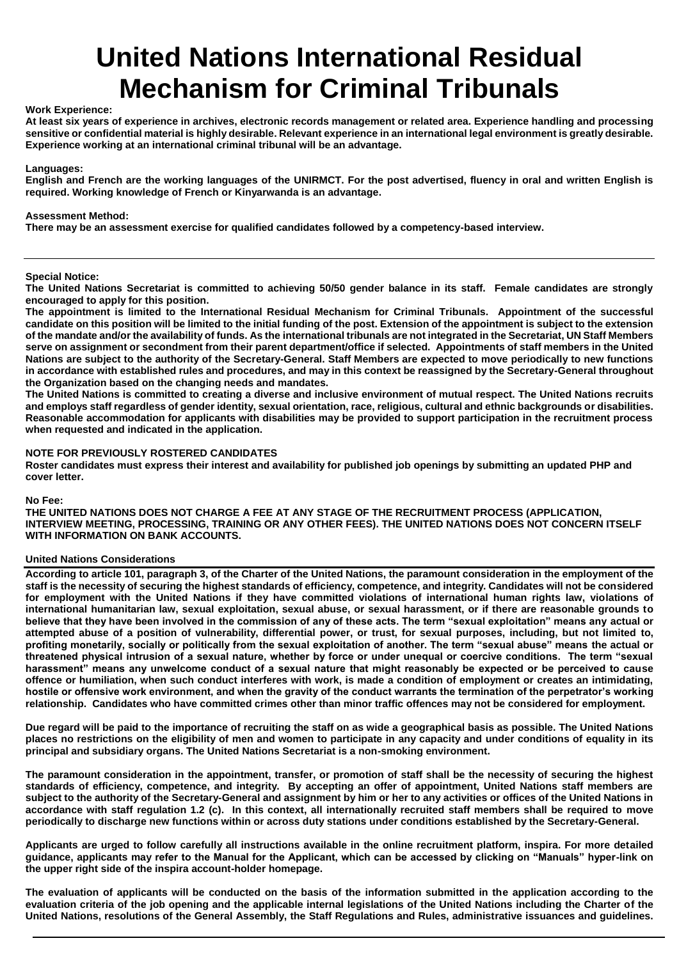# **United Nations International Residual Mechanism for Criminal Tribunals**

### **Work Experience:**

**At least six years of experience in archives, electronic records management or related area. Experience handling and processing sensitive or confidential material is highly desirable. Relevant experience in an international legal environment is greatly desirable. Experience working at an international criminal tribunal will be an advantage.**

### **Languages:**

**English and French are the working languages of the UNIRMCT. For the post advertised, fluency in oral and written English is required. Working knowledge of French or Kinyarwanda is an advantage.**

#### **Assessment Method:**

**There may be an assessment exercise for qualified candidates followed by a competency-based interview.**

#### **Special Notice:**

**The United Nations Secretariat is committed to achieving 50/50 gender balance in its staff. Female candidates are strongly encouraged to apply for this position.** 

**The appointment is limited to the International Residual Mechanism for Criminal Tribunals. Appointment of the successful candidate on this position will be limited to the initial funding of the post. Extension of the appointment is subject to the extension of the mandate and/or the availability of funds. As the international tribunals are not integrated in the Secretariat, UN Staff Members serve on assignment or secondment from their parent department/office if selected. Appointments of staff members in the United Nations are subject to the authority of the Secretary-General. Staff Members are expected to move periodically to new functions in accordance with established rules and procedures, and may in this context be reassigned by the Secretary-General throughout the Organization based on the changing needs and mandates.**

**The United Nations is committed to creating a diverse and inclusive environment of mutual respect. The United Nations recruits and employs staff regardless of gender identity, sexual orientation, race, religious, cultural and ethnic backgrounds or disabilities. Reasonable accommodation for applicants with disabilities may be provided to support participation in the recruitment process when requested and indicated in the application.**

#### **NOTE FOR PREVIOUSLY ROSTERED CANDIDATES**

**Roster candidates must express their interest and availability for published job openings by submitting an updated PHP and cover letter.**

#### **No Fee:**

**THE UNITED NATIONS DOES NOT CHARGE A FEE AT ANY STAGE OF THE RECRUITMENT PROCESS (APPLICATION, INTERVIEW MEETING, PROCESSING, TRAINING OR ANY OTHER FEES). THE UNITED NATIONS DOES NOT CONCERN ITSELF WITH INFORMATION ON BANK ACCOUNTS.**

### **United Nations Considerations**

**According to article 101, paragraph 3, of the Charter of the United Nations, the paramount consideration in the employment of the staff is the necessity of securing the highest standards of efficiency, competence, and integrity. Candidates will not be considered for employment with the United Nations if they have committed violations of international human rights law, violations of international humanitarian law, sexual exploitation, sexual abuse, or sexual harassment, or if there are reasonable grounds to believe that they have been involved in the commission of any of these acts. The term "sexual exploitation" means any actual or attempted abuse of a position of vulnerability, differential power, or trust, for sexual purposes, including, but not limited to, profiting monetarily, socially or politically from the sexual exploitation of another. The term "sexual abuse" means the actual or threatened physical intrusion of a sexual nature, whether by force or under unequal or coercive conditions. The term "sexual harassment" means any unwelcome conduct of a sexual nature that might reasonably be expected or be perceived to cause offence or humiliation, when such conduct interferes with work, is made a condition of employment or creates an intimidating, hostile or offensive work environment, and when the gravity of the conduct warrants the termination of the perpetrator's working relationship. Candidates who have committed crimes other than minor traffic offences may not be considered for employment.**

**Due regard will be paid to the importance of recruiting the staff on as wide a geographical basis as possible. The United Nations places no restrictions on the eligibility of men and women to participate in any capacity and under conditions of equality in its principal and subsidiary organs. The United Nations Secretariat is a non-smoking environment.**

**The paramount consideration in the appointment, transfer, or promotion of staff shall be the necessity of securing the highest standards of efficiency, competence, and integrity. By accepting an offer of appointment, United Nations staff members are subject to the authority of the Secretary-General and assignment by him or her to any activities or offices of the United Nations in accordance with staff regulation 1.2 (c). In this context, all internationally recruited staff members shall be required to move periodically to discharge new functions within or across duty stations under conditions established by the Secretary-General.** 

**Applicants are urged to follow carefully all instructions available in the online recruitment platform, inspira. For more detailed guidance, applicants may refer to the Manual for the Applicant, which can be accessed by clicking on "Manuals" hyper-link on the upper right side of the inspira account-holder homepage.**

**The evaluation of applicants will be conducted on the basis of the information submitted in the application according to the evaluation criteria of the job opening and the applicable internal legislations of the United Nations including the Charter of the United Nations, resolutions of the General Assembly, the Staff Regulations and Rules, administrative issuances and guidelines.**